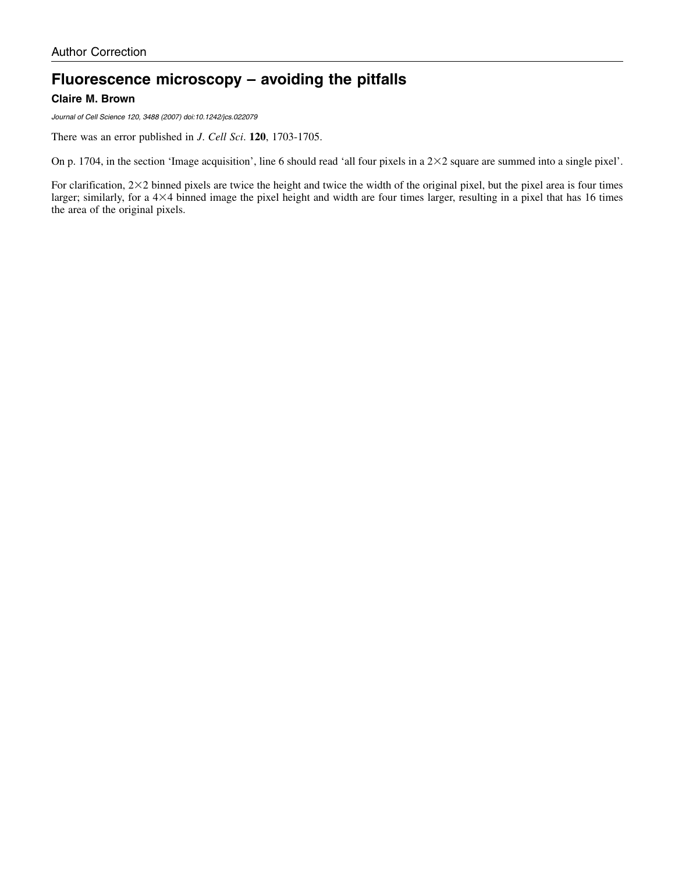## **Fluorescence microscopy – avoiding the pitfalls Claire M. Brown**

Journal of Cell Science 120, 3488 (2007) doi:10.1242/jcs.022079

There was an error published in *J*. *Cell Sci*. **120**, 1703-1705.

On p. 1704, in the section 'Image acquisition', line 6 should read 'all four pixels in a  $2\times 2$  square are summed into a single pixel'.

For clarification,  $2\times 2$  binned pixels are twice the height and twice the width of the original pixel, but the pixel area is four times larger; similarly, for a  $4\times4$  binned image the pixel height and width are four times larger, resulting in a pixel that has 16 times the area of the original pixels.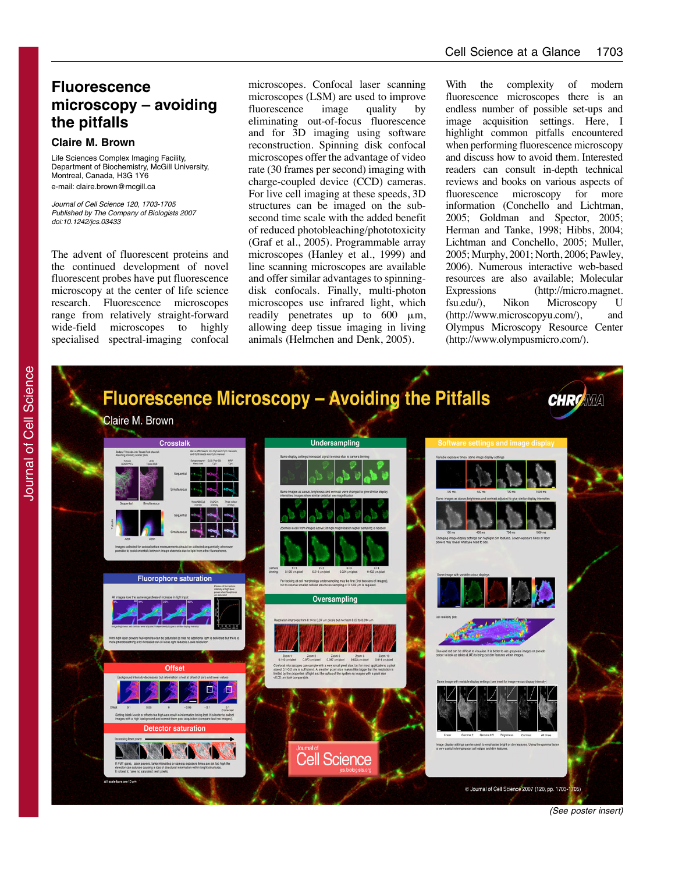## **Fluorescence microscopy – avoiding the pitfalls**

#### **Claire M. Brown**

Life Sciences Complex Imaging Facility, Department of Biochemistry, McGill University, Montreal, Canada, H3G 1Y6 e-mail: claire.brown@mcgill.ca

Journal of Cell Science 120, 1703-1705 Published by The Company of Biologists 2007 doi:10.1242/jcs.03433

The advent of fluorescent proteins and the continued development of novel fluorescent probes have put fluorescence microscopy at the center of life science research. Fluorescence microscopes range from relatively straight-forward wide-field microscopes to highly specialised spectral-imaging confocal

microscopes. Confocal laser scanning microscopes (LSM) are used to improve fluorescence image quality by eliminating out-of-focus fluorescence and for 3D imaging using software reconstruction. Spinning disk confocal microscopes offer the advantage of video rate (30 frames per second) imaging with charge-coupled device (CCD) cameras. For live cell imaging at these speeds, 3D structures can be imaged on the subsecond time scale with the added benefit of reduced photobleaching/phototoxicity (Graf et al., 2005). Programmable array microscopes (Hanley et al., 1999) and line scanning microscopes are available and offer similar advantages to spinningdisk confocals. Finally, multi-photon microscopes use infrared light, which readily penetrates up to  $600 \mu m$ , allowing deep tissue imaging in living animals (Helmchen and Denk, 2005).

With the complexity of modern fluorescence microscopes there is an endless number of possible set-ups and image acquisition settings. Here, I highlight common pitfalls encountered when performing fluorescence microscopy and discuss how to avoid them. Interested readers can consult in-depth technical reviews and books on various aspects of fluorescence microscopy for more information (Conchello and Lichtman, 2005; Goldman and Spector, 2005; Herman and Tanke, 1998; Hibbs, 2004; Lichtman and Conchello, 2005; Muller, 2005; Murphy, 2001; North, 2006; Pawley, 2006). Numerous interactive web-based resources are also available; Molecular Expressions (http://micro. magnet. fsu.edu/), Nikon Microscopy U (http://www.microscopyu.com/), and Olympus Microscopy Resource Center (http://www.olympusmicro.com/).

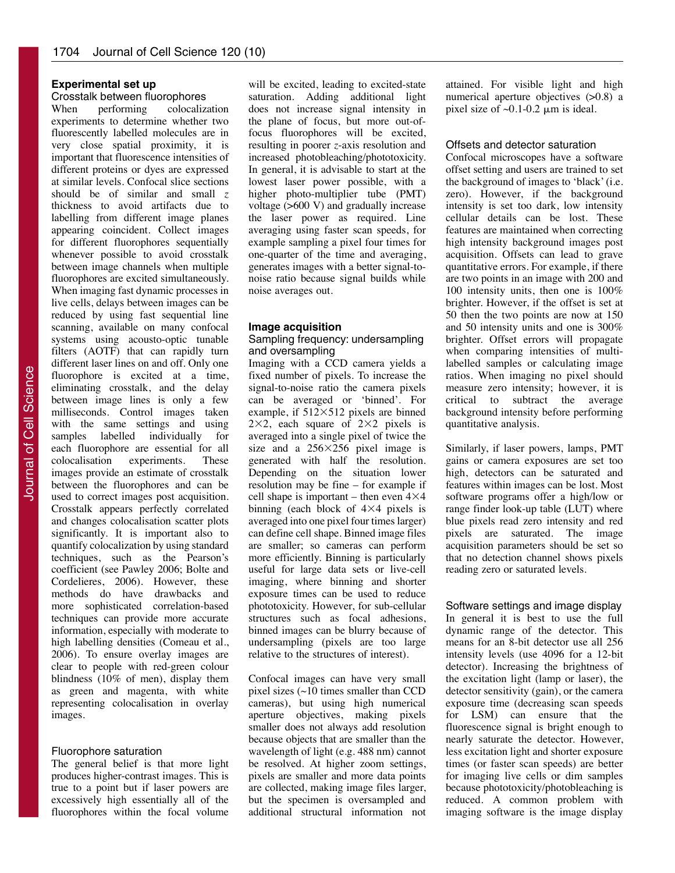#### **Experimental set up**

# Crosstalk between fluorophores<br>When performing colocaliz

When performing colocalization experiments to determine whether two fluorescently labelled molecules are in very close spatial proximity, it is important that fluorescence intensities of different proteins or dyes are expressed at similar levels. Confocal slice sections should be of similar and small *z* thickness to avoid artifacts due to labelling from different image planes appearing coincident. Collect images for different fluorophores sequentially whenever possible to avoid crosstalk between image channels when multiple fluorophores are excited simultaneously. When imaging fast dynamic processes in live cells, delays between images can be reduced by using fast sequential line scanning, available on many confocal systems using acousto-optic tunable filters (AOTF) that can rapidly turn different laser lines on and off. Only one fluorophore is excited at a time, eliminating crosstalk, and the delay between image lines is only a few milliseconds. Control images taken with the same settings and using samples labelled individually for each fluorophore are essential for all colocalisation experiments. These images provide an estimate of crosstalk between the fluorophores and can be used to correct images post acquisition. Crosstalk appears perfectly correlated and changes colocalisation scatter plots significantly. It is important also to quantify colocalization by using standard techniques, such as the Pearson's coefficient (see Pawley 2006; Bolte and Cordelieres, 2006). However, these methods do have drawbacks and more sophisticated correlation-based techniques can provide more accurate information, especially with moderate to high labelling densities (Comeau et al., 2006). To ensure overlay images are clear to people with red-green colour blindness (10% of men), display them as green and magenta, with white representing colocalisation in overlay images.

#### Fluorophore saturation

The general belief is that more light produces higher-contrast images. This is true to a point but if laser powers are excessively high essentially all of the fluorophores within the focal volume

will be excited, leading to excited-state saturation. Adding additional light does not increase signal intensity in the plane of focus, but more out-offocus fluorophores will be excited, resulting in poorer *z*-axis resolution and increased photobleaching/phototoxicity. In general, it is advisable to start at the lowest laser power possible, with a higher photo-multiplier tube (PMT) voltage (>600 V) and gradually increase the laser power as required. Line averaging using faster scan speeds, for example sampling a pixel four times for one-quarter of the time and averaging, generates images with a better signal-tonoise ratio because signal builds while noise averages out.

### **Image acquisition**

Sampling frequency: undersampling and oversampling

Imaging with a CCD camera yields a fixed number of pixels. To increase the signal-to-noise ratio the camera pixels can be averaged or 'binned'. For example, if  $512\times512$  pixels are binned  $2\times2$ , each square of  $2\times2$  pixels is averaged into a single pixel of twice the size and a  $256 \times 256$  pixel image is generated with half the resolution. Depending on the situation lower resolution may be fine – for example if cell shape is important – then even  $4\times4$ binning (each block of  $4\times4$  pixels is averaged into one pixel four times larger) can define cell shape. Binned image files are smaller; so cameras can perform more efficiently. Binning is particularly useful for large data sets or live-cell imaging, where binning and shorter exposure times can be used to reduce phototoxicity. However, for sub-cellular structures such as focal adhesions, binned images can be blurry because of undersampling (pixels are too large relative to the structures of interest).

Confocal images can have very small pixel sizes (~10 times smaller than CCD cameras), but using high numerical aperture objectives, making pixels smaller does not always add resolution because objects that are smaller than the wavelength of light (e.g. 488 nm) cannot be resolved. At higher zoom settings, pixels are smaller and more data points are collected, making image files larger, but the specimen is oversampled and additional structural information not attained. For visible light and high numerical aperture objectives (>0.8) a pixel size of  $\sim 0.1$ -0.2  $\mu$ m is ideal.

#### Offsets and detector saturation

Confocal microscopes have a software offset setting and users are trained to set the background of images to 'black' (i.e. zero). However, if the background intensity is set too dark, low intensity cellular details can be lost. These features are maintained when correcting high intensity background images post acquisition. Offsets can lead to grave quantitative errors. For example, if there are two points in an image with 200 and 100 intensity units, then one is 100% brighter. However, if the offset is set at 50 then the two points are now at 150 and 50 intensity units and one is 300% brighter. Offset errors will propagate when comparing intensities of multilabelled samples or calculating image ratios. When imaging no pixel should measure zero intensity; however, it is critical to subtract the average background intensity before performing quantitative analysis.

Similarly, if laser powers, lamps, PMT gains or camera exposures are set too high, detectors can be saturated and features within images can be lost. Most software programs offer a high/low or range finder look-up table (LUT) where blue pixels read zero intensity and red pixels are saturated. The image acquisition parameters should be set so that no detection channel shows pixels reading zero or saturated levels.

#### Software settings and image display

In general it is best to use the full dynamic range of the detector. This means for an 8-bit detector use all 256 intensity levels (use 4096 for a 12-bit detector). Increasing the brightness of the excitation light (lamp or laser), the detector sensitivity (gain), or the camera exposure time (decreasing scan speeds for LSM) can ensure that the fluorescence signal is bright enough to nearly saturate the detector. However, less excitation light and shorter exposure times (or faster scan speeds) are better for imaging live cells or dim samples because phototoxicity/photobleaching is reduced. A common problem with imaging software is the image display